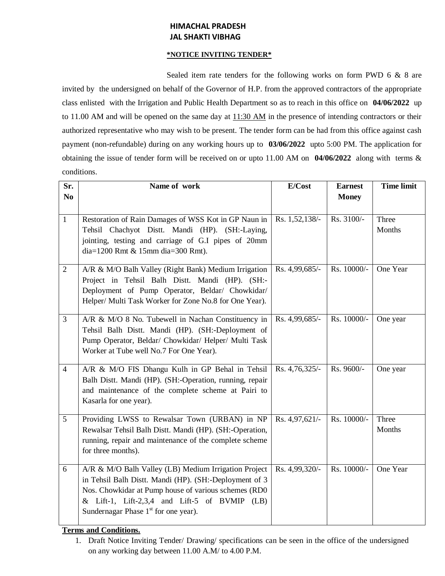## **HIMACHAL PRADESH JAL SHAKTI VIBHAG**

## **\*NOTICE INVITING TENDER\***

Sealed item rate tenders for the following works on form PWD 6 & 8 are invited by the undersigned on behalf of the Governor of H.P. from the approved contractors of the appropriate class enlisted with the Irrigation and Public Health Department so as to reach in this office on **04/06/2022** up to 11.00 AM and will be opened on the same day at 11:30 AM in the presence of intending contractors or their authorized representative who may wish to be present. The tender form can be had from this office against cash payment (non-refundable) during on any working hours up to **03/06/2022** upto 5:00 PM. The application for obtaining the issue of tender form will be received on or upto 11.00 AM on **04/06/2022** along with terms & conditions.

| Sr.<br>N <sub>0</sub> | Name of work                                                                                                                                                                                                                                                                  | E/Cost         | <b>Earnest</b><br><b>Money</b> | <b>Time limit</b> |
|-----------------------|-------------------------------------------------------------------------------------------------------------------------------------------------------------------------------------------------------------------------------------------------------------------------------|----------------|--------------------------------|-------------------|
|                       |                                                                                                                                                                                                                                                                               |                |                                |                   |
| $\mathbf{1}$          | Restoration of Rain Damages of WSS Kot in GP Naun in<br>Tehsil Chachyot Distt. Mandi (HP). (SH:-Laying,<br>jointing, testing and carriage of G.I pipes of 20mm<br>dia=1200 Rmt & 15mm dia=300 Rmt).                                                                           | Rs. 1,52,138/- | Rs. 3100/-                     | Three<br>Months   |
| $\overline{2}$        | A/R & M/O Balh Valley (Right Bank) Medium Irrigation<br>Project in Tehsil Balh Distt. Mandi (HP). (SH:-<br>Deployment of Pump Operator, Beldar/ Chowkidar/<br>Helper/ Multi Task Worker for Zone No.8 for One Year).                                                          | Rs. 4,99,685/- | Rs. 10000/-                    | One Year          |
| 3                     | A/R & M/O 8 No. Tubewell in Nachan Constituency in<br>Tehsil Balh Distt. Mandi (HP). (SH:-Deployment of<br>Pump Operator, Beldar/ Chowkidar/ Helper/ Multi Task<br>Worker at Tube well No.7 For One Year).                                                                    | Rs. 4,99,685/- | Rs. 10000/-                    | One year          |
| $\overline{4}$        | A/R & M/O FIS Dhangu Kulh in GP Behal in Tehsil<br>Balh Distt. Mandi (HP). (SH:-Operation, running, repair<br>and maintenance of the complete scheme at Pairi to<br>Kasarla for one year).                                                                                    | Rs. 4,76,325/- | Rs. 9600/-                     | One year          |
| 5                     | Providing LWSS to Rewalsar Town (URBAN) in NP<br>Rewalsar Tehsil Balh Distt. Mandi (HP). (SH:-Operation,<br>running, repair and maintenance of the complete scheme<br>for three months).                                                                                      | Rs. 4,97,621/- | Rs. 10000/-                    | Three<br>Months   |
| 6                     | A/R & M/O Balh Valley (LB) Medium Irrigation Project<br>in Tehsil Balh Distt. Mandi (HP). (SH:-Deployment of 3<br>Nos. Chowkidar at Pump house of various schemes (RD0<br>& Lift-1, Lift-2,3,4 and Lift-5 of BVMIP $(LB)$<br>Sundernagar Phase 1 <sup>st</sup> for one year). | Rs. 4,99,320/- | Rs. 10000/-                    | One Year          |

## **Terms and Conditions.**

<sup>1.</sup> Draft Notice Inviting Tender/ Drawing/ specifications can be seen in the office of the undersigned on any working day between 11.00 A.M/ to 4.00 P.M.